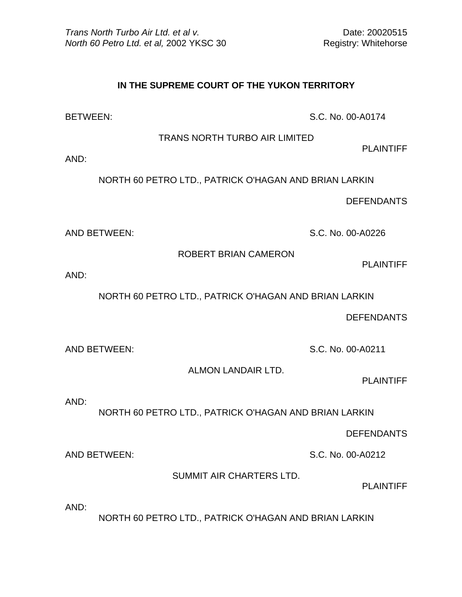## **IN THE SUPREME COURT OF THE YUKON TERRITORY**

BETWEEN: S.C. No. 00-A0174

TRANS NORTH TURBO AIR LIMITED

PLAINTIFF

AND:

NORTH 60 PETRO LTD., PATRICK O'HAGAN AND BRIAN LARKIN

DEFENDANTS

AND BETWEEN: S.C. No. 00-A0226

ROBERT BRIAN CAMERON

PLAINTIFF

AND:

NORTH 60 PETRO LTD., PATRICK O'HAGAN AND BRIAN LARKIN

DEFENDANTS

AND BETWEEN: S.C. No. 00-A0211

ALMON LANDAIR LTD.

PLAINTIFF

AND:

NORTH 60 PETRO LTD., PATRICK O'HAGAN AND BRIAN LARKIN

DEFENDANTS

AND BETWEEN: S.C. No. 00-A0212

SUMMIT AIR CHARTERS LTD.

PLAINTIFF

AND:

NORTH 60 PETRO LTD., PATRICK O'HAGAN AND BRIAN LARKIN